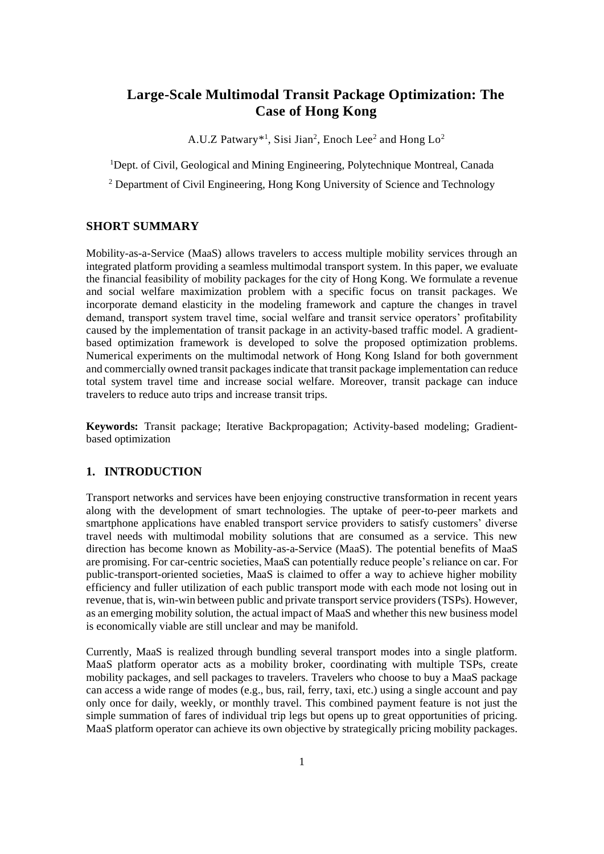# **Large-Scale Multimodal Transit Package Optimization: The Case of Hong Kong**

A.U.Z Patwary\*<sup>1</sup>, Sisi Jian<sup>2</sup>, Enoch Lee<sup>2</sup> and Hong Lo<sup>2</sup>

<sup>1</sup>Dept. of Civil, Geological and Mining Engineering, Polytechnique Montreal, Canada

<sup>2</sup> Department of Civil Engineering, Hong Kong University of Science and Technology

# **SHORT SUMMARY**

Mobility-as-a-Service (MaaS) allows travelers to access multiple mobility services through an integrated platform providing a seamless multimodal transport system. In this paper, we evaluate the financial feasibility of mobility packages for the city of Hong Kong. We formulate a revenue and social welfare maximization problem with a specific focus on transit packages. We incorporate demand elasticity in the modeling framework and capture the changes in travel demand, transport system travel time, social welfare and transit service operators' profitability caused by the implementation of transit package in an activity-based traffic model. A gradientbased optimization framework is developed to solve the proposed optimization problems. Numerical experiments on the multimodal network of Hong Kong Island for both government and commercially owned transit packagesindicate that transit package implementation can reduce total system travel time and increase social welfare. Moreover, transit package can induce travelers to reduce auto trips and increase transit trips.

**Keywords:** Transit package; Iterative Backpropagation; Activity-based modeling; Gradientbased optimization

# **1. INTRODUCTION**

Transport networks and services have been enjoying constructive transformation in recent years along with the development of smart technologies. The uptake of peer-to-peer markets and smartphone applications have enabled transport service providers to satisfy customers' diverse travel needs with multimodal mobility solutions that are consumed as a service. This new direction has become known as Mobility-as-a-Service (MaaS). The potential benefits of MaaS are promising. For car-centric societies, MaaS can potentially reduce people's reliance on car. For public-transport-oriented societies, MaaS is claimed to offer a way to achieve higher mobility efficiency and fuller utilization of each public transport mode with each mode not losing out in revenue, that is, win-win between public and private transport service providers(TSPs). However, as an emerging mobility solution, the actual impact of MaaS and whether this new business model is economically viable are still unclear and may be manifold.

Currently, MaaS is realized through bundling several transport modes into a single platform. MaaS platform operator acts as a mobility broker, coordinating with multiple TSPs, create mobility packages, and sell packages to travelers. Travelers who choose to buy a MaaS package can access a wide range of modes (e.g., bus, rail, ferry, taxi, etc.) using a single account and pay only once for daily, weekly, or monthly travel. This combined payment feature is not just the simple summation of fares of individual trip legs but opens up to great opportunities of pricing. MaaS platform operator can achieve its own objective by strategically pricing mobility packages.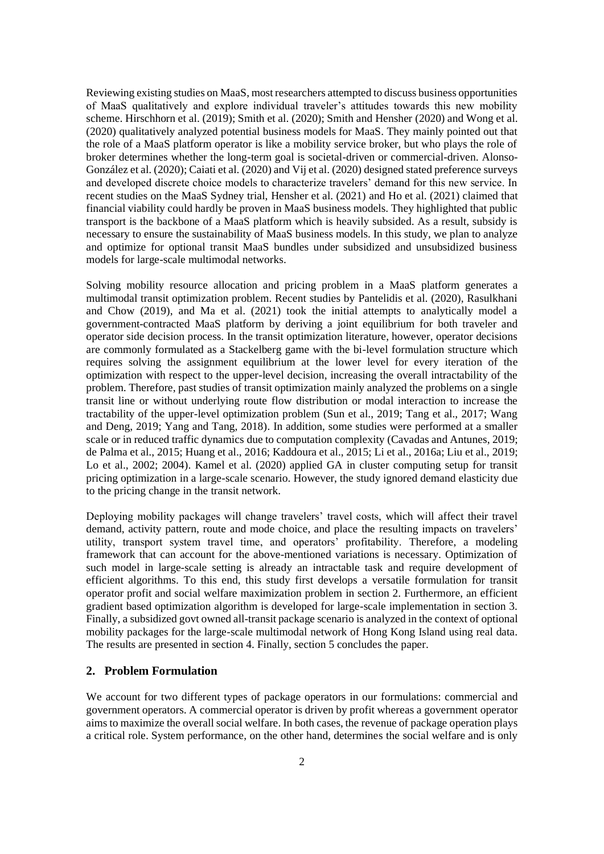Reviewing existing studies on MaaS, most researchers attempted to discuss business opportunities of MaaS qualitatively and explore individual traveler's attitudes towards this new mobility scheme. Hirschhorn et al. (2019); Smith et al. (2020); Smith and Hensher (2020) and Wong et al. (2020) qualitatively analyzed potential business models for MaaS. They mainly pointed out that the role of a MaaS platform operator is like a mobility service broker, but who plays the role of broker determines whether the long-term goal is societal-driven or commercial-driven. Alonso-González et al. (2020); Caiati et al. (2020) and Vij et al. (2020) designed stated preference surveys and developed discrete choice models to characterize travelers' demand for this new service. In recent studies on the MaaS Sydney trial, Hensher et al. (2021) and Ho et al. (2021) claimed that financial viability could hardly be proven in MaaS business models. They highlighted that public transport is the backbone of a MaaS platform which is heavily subsided. As a result, subsidy is necessary to ensure the sustainability of MaaS business models. In this study, we plan to analyze and optimize for optional transit MaaS bundles under subsidized and unsubsidized business models for large-scale multimodal networks.

Solving mobility resource allocation and pricing problem in a MaaS platform generates a multimodal transit optimization problem. Recent studies by Pantelidis et al. (2020), Rasulkhani and Chow (2019), and Ma et al. (2021) took the initial attempts to analytically model a government-contracted MaaS platform by deriving a joint equilibrium for both traveler and operator side decision process. In the transit optimization literature, however, operator decisions are commonly formulated as a Stackelberg game with the bi-level formulation structure which requires solving the assignment equilibrium at the lower level for every iteration of the optimization with respect to the upper-level decision, increasing the overall intractability of the problem. Therefore, past studies of transit optimization mainly analyzed the problems on a single transit line or without underlying route flow distribution or modal interaction to increase the tractability of the upper-level optimization problem (Sun et al., 2019; Tang et al., 2017; Wang and Deng, 2019; Yang and Tang, 2018). In addition, some studies were performed at a smaller scale or in reduced traffic dynamics due to computation complexity (Cavadas and Antunes, 2019; de Palma et al., 2015; Huang et al., 2016; Kaddoura et al., 2015; Li et al., 2016a; Liu et al., 2019; Lo et al., 2002; 2004). Kamel et al. (2020) applied GA in cluster computing setup for transit pricing optimization in a large-scale scenario. However, the study ignored demand elasticity due to the pricing change in the transit network.

Deploying mobility packages will change travelers' travel costs, which will affect their travel demand, activity pattern, route and mode choice, and place the resulting impacts on travelers' utility, transport system travel time, and operators' profitability. Therefore, a modeling framework that can account for the above-mentioned variations is necessary. Optimization of such model in large-scale setting is already an intractable task and require development of efficient algorithms. To this end, this study first develops a versatile formulation for transit operator profit and social welfare maximization problem in section 2. Furthermore, an efficient gradient based optimization algorithm is developed for large-scale implementation in section 3. Finally, a subsidized govt owned all-transit package scenario is analyzed in the context of optional mobility packages for the large-scale multimodal network of Hong Kong Island using real data. The results are presented in section 4. Finally, section 5 concludes the paper.

## **2. Problem Formulation**

We account for two different types of package operators in our formulations: commercial and government operators. A commercial operator is driven by profit whereas a government operator aims to maximize the overall social welfare. In both cases, the revenue of package operation plays a critical role. System performance, on the other hand, determines the social welfare and is only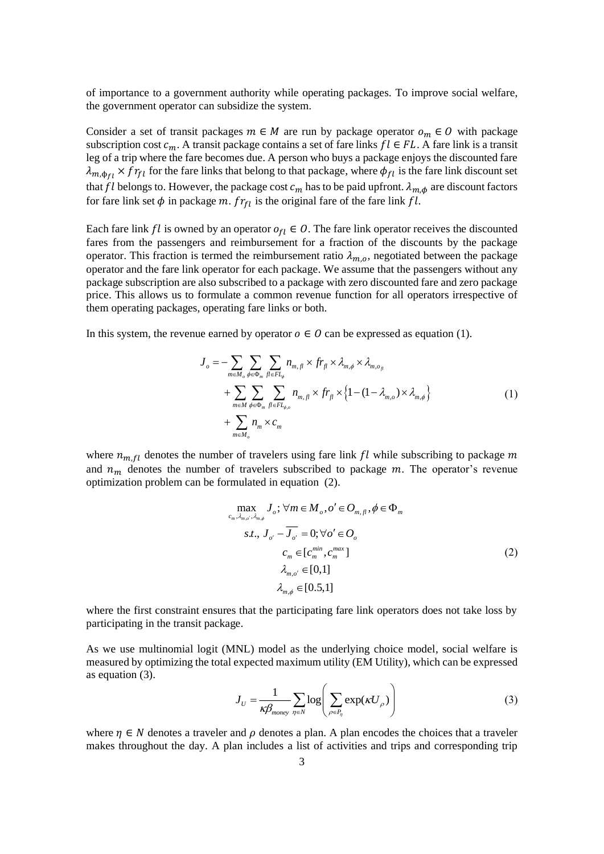of importance to a government authority while operating packages. To improve social welfare, the government operator can subsidize the system.

Consider a set of transit packages  $m \in M$  are run by package operator  $o_m \in O$  with package subscription cost  $c_m$ . A transit package contains a set of fare links  $fl \in FL$ . A fare link is a transit leg of a trip where the fare becomes due. A person who buys a package enjoys the discounted fare  $\lambda_{m,\phi_{fl}} \times fr_{fl}$  for the fare links that belong to that package, where  $\phi_{fl}$  is the fare link discount set that fl belongs to. However, the package cost  $c_m$  has to be paid upfront.  $\lambda_{m,\phi}$  are discount factors for fare link set  $\phi$  in package m.  $fr_{tl}$  is the original fare of the fare link  $fl$ .

Each fare link *fl* is owned by an operator  $o_{fl} \in O$ . The fare link operator receives the discounted fares from the passengers and reimbursement for a fraction of the discounts by the package operator. This fraction is termed the reimbursement ratio  $\lambda_{m,o}$ , negotiated between the package operator and the fare link operator for each package. We assume that the passengers without any package subscription are also subscribed to a package with zero discounted fare and zero package price. This allows us to formulate a common revenue function for all operators irrespective of them operating packages, operating fare links or both.

In this system, the revenue earned by operator  $o \in O$  can be expressed as equation (1).

$$
J_o = -\sum_{m \in M_o} \sum_{\phi \in \Phi_m} \sum_{f \in FL_{\phi}} n_{m,f} \times fr_{f} \times \lambda_{m,\phi} \times \lambda_{m,o_{f}}
$$
  
+ 
$$
\sum_{m \in M} \sum_{\phi \in \Phi_m} \sum_{f \in FL_{\phi,o}} n_{m,f} \times fr_{f} \times \{1 - (1 - \lambda_{m,o}) \times \lambda_{m,\phi}\}
$$
  
+ 
$$
\sum_{m \in M_o} n_m \times c_m
$$
 (1)

where  $n_{m,fl}$  denotes the number of travelers using fare link  $fl$  while subscribing to package m and  $n_m$  denotes the number of travelers subscribed to package  $m$ . The operator's revenue optimization problem can be formulated in equation (2).

$$
\max_{c_m, \lambda_{m,\sigma}, \lambda_{m,\phi}} J_o; \forall m \in M_o, o' \in O_{m,fl}, \phi \in \Phi_m
$$
  
s.t.,  $J_{o'} - \overline{J_{o'}} = 0; \forall o' \in O_o$   
 $c_m \in [c_m^{min}, c_m^{max}]$   
 $\lambda_{m,o'} \in [0,1]$   
 $\lambda_{m,\phi} \in [0.5,1]$  (2)

where the first constraint ensures that the participating fare link operators does not take loss by participating in the transit package.

As we use multinomial logit (MNL) model as the underlying choice model, social welfare is measured by optimizing the total expected maximum utility (EM Utility), which can be expressed as equation (3).

$$
J_U = \frac{1}{\kappa \beta_{\text{money}}} \sum_{\eta \in N} \log \left( \sum_{\rho \in P_{\eta}} \exp(\kappa U_{\rho}) \right) \tag{3}
$$

where  $\eta \in N$  denotes a traveler and  $\rho$  denotes a plan. A plan encodes the choices that a traveler makes throughout the day. A plan includes a list of activities and trips and corresponding trip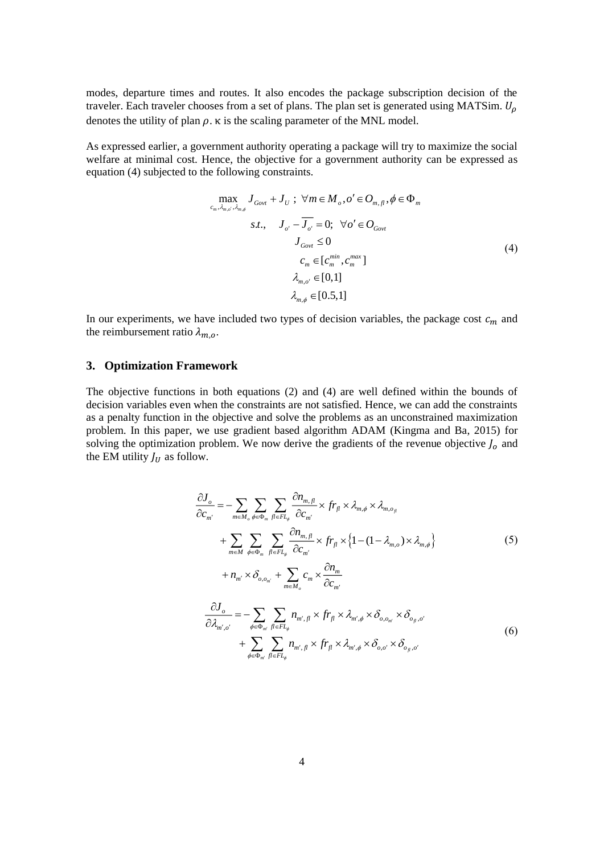modes, departure times and routes. It also encodes the package subscription decision of the traveler. Each traveler chooses from a set of plans. The plan set is generated using MATSim.  $U_0$ denotes the utility of plan  $\rho$ .  $\kappa$  is the scaling parameter of the MNL model.

As expressed earlier, a government authority operating a package will try to maximize the social welfare at minimal cost. Hence, the objective for a government authority can be expressed as equation (4) subjected to the following constraints.

$$
\max_{c_m, \lambda_{m,\phi}, \lambda_{m,\phi}} J_{Govt} + J_U; \ \forall m \in M_o, o' \in O_{m, fl}, \phi \in \Phi_m
$$
  

$$
s.t., \quad J_{o'} - \overline{J_{o'}} = 0; \ \forall o' \in O_{Govt}
$$
  

$$
J_{Govt} \le 0
$$
  

$$
c_m \in [c_m^{min}, c_m^{max}]
$$
  

$$
\lambda_{m,o'} \in [0,1]
$$
  

$$
\lambda_{m,\phi} \in [0.5,1]
$$

In our experiments, we have included two types of decision variables, the package cost  $c_m$  and the reimbursement ratio  $\lambda_{m.o.}$ 

#### **3. Optimization Framework**

The objective functions in both equations (2) and (4) are well defined within the bounds of decision variables even when the constraints are not satisfied. Hence, we can add the constraints as a penalty function in the objective and solve the problems as an unconstrained maximization problem. In this paper, we use gradient based algorithm ADAM (Kingma and Ba, 2015) for solving the optimization problem. We now derive the gradients of the revenue objective  $J_0$  and the EM utility  $J_U$  as follow.

$$
\frac{\partial J_o}{\partial c_{m'}} = -\sum_{m \in M_o} \sum_{\phi \in \Phi_m} \sum_{f l \in FL_{\phi}} \frac{\partial n_{m,f}}{\partial c_{m'}} \times fr_{f l} \times \lambda_{m,\phi} \times \lambda_{m,o_{f}}
$$
  
+ 
$$
\sum_{m \in M} \sum_{\phi \in \Phi_m} \sum_{f l \in FL_{\phi}} \frac{\partial n_{m,f l}}{\partial c_{m'}} \times fr_{f l} \times \left\{1 - (1 - \lambda_{m,o}) \times \lambda_{m,\phi}\right\}
$$
  
+ 
$$
n_{m'} \times \delta_{o,o_{m'}} + \sum_{m \in M_o} c_m \times \frac{\partial n_m}{\partial c_{m'}}
$$
  

$$
\frac{\partial J_o}{\partial \lambda_{m',o'}} = -\sum_{\phi \in \Phi_{m'}} \sum_{f l \in FL_{\phi}} n_{m',f l} \times fr_{f l} \times \lambda_{m',\phi} \times \delta_{o,o_{m'}} \times \delta_{o_{f l},o'}
$$
  
+ 
$$
\sum_{\phi \in \Phi_{m'}} \sum_{f l \in FL_{\phi}} n_{m',f l} \times fr_{f l} \times \lambda_{m',\phi} \times \delta_{o,o'} \times \delta_{o_{f l},o'}
$$
  
(6)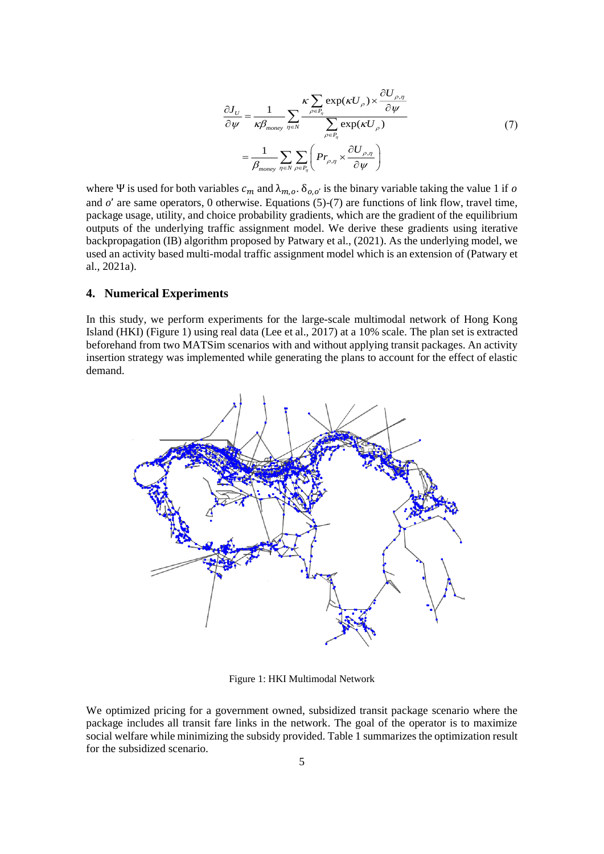$$
\frac{\partial J_{U}}{\partial \psi} = \frac{1}{\kappa \beta_{\text{money}}} \sum_{\eta \in N} \frac{\kappa \sum_{\rho \in P_{\eta}} \exp(\kappa U_{\rho}) \times \frac{\partial U_{\rho, \eta}}{\partial \psi}}{\sum_{\rho \in P_{\eta}} \exp(\kappa U_{\rho})}
$$
\n
$$
= \frac{1}{\beta_{\text{money}}} \sum_{\eta \in N} \sum_{\rho \in P_{\eta}} \left( Pr_{\rho, \eta} \times \frac{\partial U_{\rho, \eta}}{\partial \psi} \right)
$$
\n(7)

where Ψ is used for both variables  $c_m$  and  $\lambda_{m,o}$ .  $\delta_{o,o'}$  is the binary variable taking the value 1 if o and  $o'$  are same operators, 0 otherwise. Equations (5)-(7) are functions of link flow, travel time, package usage, utility, and choice probability gradients, which are the gradient of the equilibrium outputs of the underlying traffic assignment model. We derive these gradients using iterative backpropagation (IB) algorithm proposed by Patwary et al., (2021). As the underlying model, we used an activity based multi-modal traffic assignment model which is an extension of (Patwary et al., 2021a).

#### **4. Numerical Experiments**

In this study, we perform experiments for the large-scale multimodal network of Hong Kong Island (HKI) [\(Figure 1\)](#page-4-0) using real data (Lee et al., 2017) at a 10% scale. The plan set is extracted beforehand from two MATSim scenarios with and without applying transit packages. An activity insertion strategy was implemented while generating the plans to account for the effect of elastic demand.



Figure 1: HKI Multimodal Network

<span id="page-4-0"></span>We optimized pricing for a government owned, subsidized transit package scenario where the package includes all transit fare links in the network. The goal of the operator is to maximize social welfare while minimizing the subsidy provided. Table 1 summarizes the optimization result for the subsidized scenario.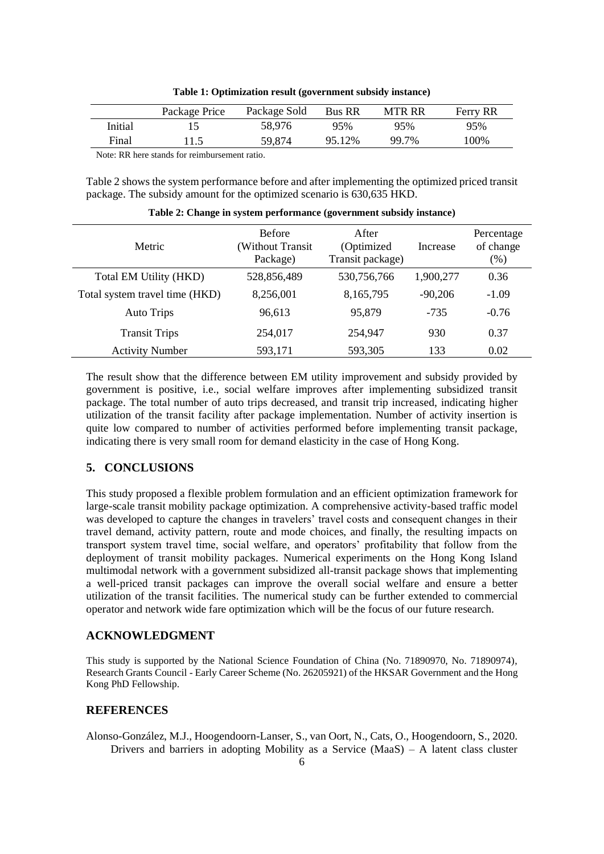| Table 1: Optimization result (government subsidy instance) |  |  |
|------------------------------------------------------------|--|--|
|------------------------------------------------------------|--|--|

|         | Package Price | Package Sold | <b>Bus RR</b> | <b>MTR RR</b> | Ferry RR |
|---------|---------------|--------------|---------------|---------------|----------|
| Initial |               | 58.976       | 95%           | 95%           | 95%      |
| Final   | 11.5          | 59.874       | 95.12%        | 99.7%         | 100%     |

Note: RR here stands for reimbursement ratio.

Table 2 shows the system performance before and after implementing the optimized priced transit package. The subsidy amount for the optimized scenario is 630,635 HKD.

| <b>Metric</b>                  | <b>Before</b><br>(Without Transit<br>Package) | After<br>(Optimized<br>Transit package) | Increase  | Percentage<br>of change<br>$(\%)$ |
|--------------------------------|-----------------------------------------------|-----------------------------------------|-----------|-----------------------------------|
| Total EM Utility (HKD)         | 528,856,489                                   | 530,756,766                             | 1,900,277 | 0.36                              |
| Total system travel time (HKD) | 8,256,001                                     | 8,165,795                               | $-90,206$ | $-1.09$                           |
| Auto Trips                     | 96.613                                        | 95,879                                  | $-735$    | $-0.76$                           |
| <b>Transit Trips</b>           | 254,017                                       | 254,947                                 | 930       | 0.37                              |
| <b>Activity Number</b>         | 593,171                                       | 593,305                                 | 133       | 0.02                              |

**Table 2: Change in system performance (government subsidy instance)**

The result show that the difference between EM utility improvement and subsidy provided by government is positive, i.e., social welfare improves after implementing subsidized transit package. The total number of auto trips decreased, and transit trip increased, indicating higher utilization of the transit facility after package implementation. Number of activity insertion is quite low compared to number of activities performed before implementing transit package, indicating there is very small room for demand elasticity in the case of Hong Kong.

## **5. CONCLUSIONS**

This study proposed a flexible problem formulation and an efficient optimization framework for large-scale transit mobility package optimization. A comprehensive activity-based traffic model was developed to capture the changes in travelers' travel costs and consequent changes in their travel demand, activity pattern, route and mode choices, and finally, the resulting impacts on transport system travel time, social welfare, and operators' profitability that follow from the deployment of transit mobility packages. Numerical experiments on the Hong Kong Island multimodal network with a government subsidized all-transit package shows that implementing a well-priced transit packages can improve the overall social welfare and ensure a better utilization of the transit facilities. The numerical study can be further extended to commercial operator and network wide fare optimization which will be the focus of our future research.

## **ACKNOWLEDGMENT**

This study is supported by the National Science Foundation of China (No. 71890970, No. 71890974), Research Grants Council - Early Career Scheme (No. 26205921) of the HKSAR Government and the Hong Kong PhD Fellowship.

## **REFERENCES**

Alonso-González, M.J., Hoogendoorn-Lanser, S., van Oort, N., Cats, O., Hoogendoorn, S., 2020. Drivers and barriers in adopting Mobility as a Service (MaaS) – A latent class cluster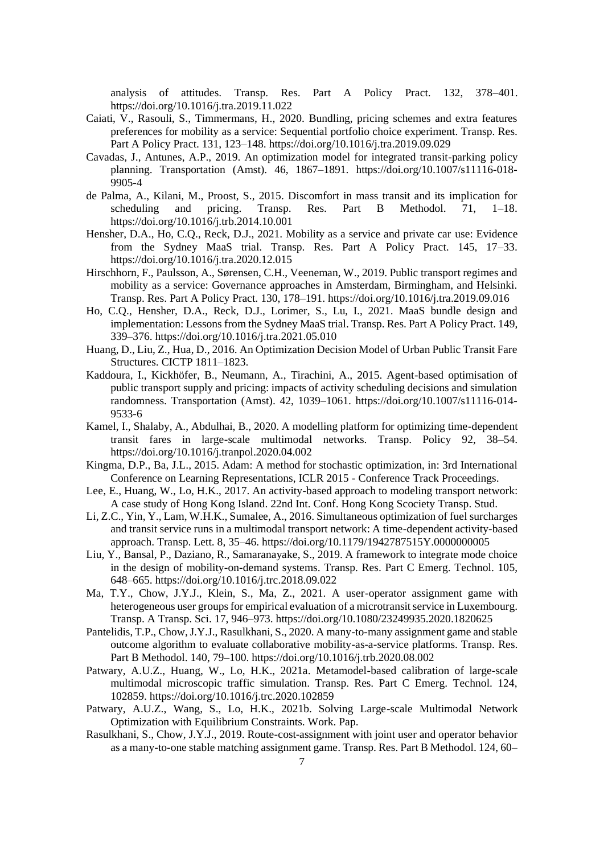analysis of attitudes. Transp. Res. Part A Policy Pract. 132, 378–401. https://doi.org/10.1016/j.tra.2019.11.022

- Caiati, V., Rasouli, S., Timmermans, H., 2020. Bundling, pricing schemes and extra features preferences for mobility as a service: Sequential portfolio choice experiment. Transp. Res. Part A Policy Pract. 131, 123–148. https://doi.org/10.1016/j.tra.2019.09.029
- Cavadas, J., Antunes, A.P., 2019. An optimization model for integrated transit-parking policy planning. Transportation (Amst). 46, 1867–1891. https://doi.org/10.1007/s11116-018- 9905-4
- de Palma, A., Kilani, M., Proost, S., 2015. Discomfort in mass transit and its implication for scheduling and pricing. Transp. Res. Part B Methodol. 71, 1–18. https://doi.org/10.1016/j.trb.2014.10.001
- Hensher, D.A., Ho, C.Q., Reck, D.J., 2021. Mobility as a service and private car use: Evidence from the Sydney MaaS trial. Transp. Res. Part A Policy Pract. 145, 17–33. https://doi.org/10.1016/j.tra.2020.12.015
- Hirschhorn, F., Paulsson, A., Sørensen, C.H., Veeneman, W., 2019. Public transport regimes and mobility as a service: Governance approaches in Amsterdam, Birmingham, and Helsinki. Transp. Res. Part A Policy Pract. 130, 178–191. https://doi.org/10.1016/j.tra.2019.09.016
- Ho, C.Q., Hensher, D.A., Reck, D.J., Lorimer, S., Lu, I., 2021. MaaS bundle design and implementation: Lessons from the Sydney MaaS trial. Transp. Res. Part A Policy Pract. 149, 339–376. https://doi.org/10.1016/j.tra.2021.05.010
- Huang, D., Liu, Z., Hua, D., 2016. An Optimization Decision Model of Urban Public Transit Fare Structures. CICTP 1811–1823.
- Kaddoura, I., Kickhöfer, B., Neumann, A., Tirachini, A., 2015. Agent-based optimisation of public transport supply and pricing: impacts of activity scheduling decisions and simulation randomness. Transportation (Amst). 42, 1039–1061. https://doi.org/10.1007/s11116-014- 9533-6
- Kamel, I., Shalaby, A., Abdulhai, B., 2020. A modelling platform for optimizing time-dependent transit fares in large-scale multimodal networks. Transp. Policy 92, 38–54. https://doi.org/10.1016/j.tranpol.2020.04.002
- Kingma, D.P., Ba, J.L., 2015. Adam: A method for stochastic optimization, in: 3rd International Conference on Learning Representations, ICLR 2015 - Conference Track Proceedings.
- Lee, E., Huang, W., Lo, H.K., 2017. An activity-based approach to modeling transport network: A case study of Hong Kong Island. 22nd Int. Conf. Hong Kong Scociety Transp. Stud.
- Li, Z.C., Yin, Y., Lam, W.H.K., Sumalee, A., 2016. Simultaneous optimization of fuel surcharges and transit service runs in a multimodal transport network: A time-dependent activity-based approach. Transp. Lett. 8, 35–46. https://doi.org/10.1179/1942787515Y.0000000005
- Liu, Y., Bansal, P., Daziano, R., Samaranayake, S., 2019. A framework to integrate mode choice in the design of mobility-on-demand systems. Transp. Res. Part C Emerg. Technol. 105, 648–665. https://doi.org/10.1016/j.trc.2018.09.022
- Ma, T.Y., Chow, J.Y.J., Klein, S., Ma, Z., 2021. A user-operator assignment game with heterogeneous user groups for empirical evaluation of a microtransit service in Luxembourg. Transp. A Transp. Sci. 17, 946–973. https://doi.org/10.1080/23249935.2020.1820625
- Pantelidis, T.P., Chow, J.Y.J., Rasulkhani, S., 2020. A many-to-many assignment game and stable outcome algorithm to evaluate collaborative mobility-as-a-service platforms. Transp. Res. Part B Methodol. 140, 79–100. https://doi.org/10.1016/j.trb.2020.08.002
- Patwary, A.U.Z., Huang, W., Lo, H.K., 2021a. Metamodel-based calibration of large-scale multimodal microscopic traffic simulation. Transp. Res. Part C Emerg. Technol. 124, 102859. https://doi.org/10.1016/j.trc.2020.102859
- Patwary, A.U.Z., Wang, S., Lo, H.K., 2021b. Solving Large-scale Multimodal Network Optimization with Equilibrium Constraints. Work. Pap.
- Rasulkhani, S., Chow, J.Y.J., 2019. Route-cost-assignment with joint user and operator behavior as a many-to-one stable matching assignment game. Transp. Res. Part B Methodol. 124, 60–